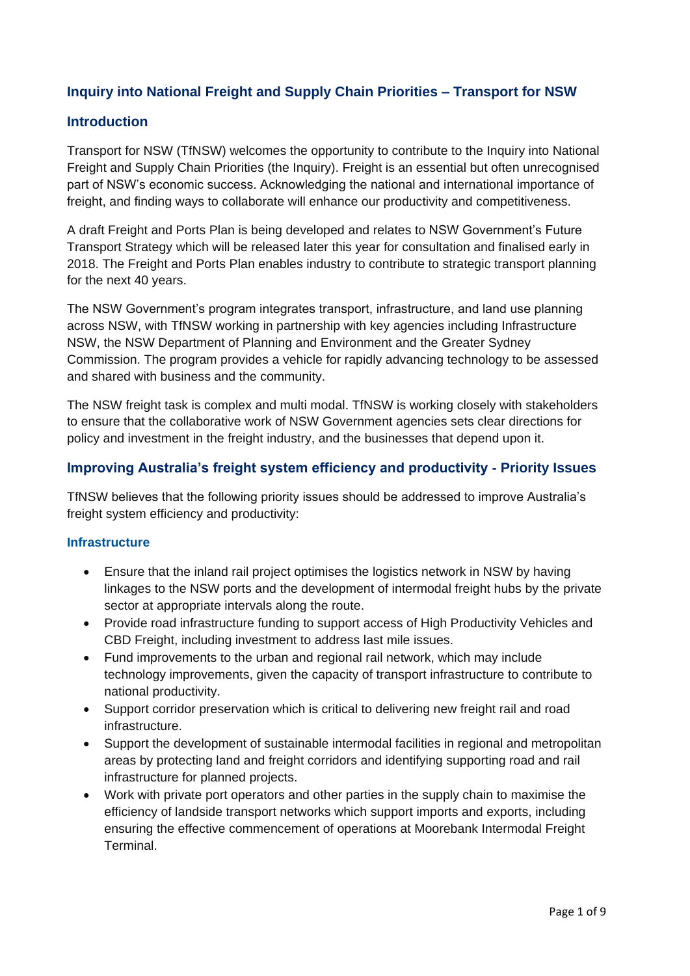# **Inquiry into National Freight and Supply Chain Priorities – Transport for NSW**

### **Introduction**

Transport for NSW (TfNSW) welcomes the opportunity to contribute to the Inquiry into National Freight and Supply Chain Priorities (the Inquiry). Freight is an essential but often unrecognised part of NSW's economic success. Acknowledging the national and international importance of freight, and finding ways to collaborate will enhance our productivity and competitiveness.

A draft Freight and Ports Plan is being developed and relates to NSW Government's Future Transport Strategy which will be released later this year for consultation and finalised early in 2018. The Freight and Ports Plan enables industry to contribute to strategic transport planning for the next 40 years.

The NSW Government's program integrates transport, infrastructure, and land use planning across NSW, with TfNSW working in partnership with key agencies including Infrastructure NSW, the NSW Department of Planning and Environment and the Greater Sydney Commission. The program provides a vehicle for rapidly advancing technology to be assessed and shared with business and the community.

The NSW freight task is complex and multi modal. TfNSW is working closely with stakeholders to ensure that the collaborative work of NSW Government agencies sets clear directions for policy and investment in the freight industry, and the businesses that depend upon it.

### **Improving Australia's freight system efficiency and productivity - Priority Issues**

TfNSW believes that the following priority issues should be addressed to improve Australia's freight system efficiency and productivity:

### **Infrastructure**

- Ensure that the inland rail project optimises the logistics network in NSW by having linkages to the NSW ports and the development of intermodal freight hubs by the private sector at appropriate intervals along the route.
- Provide road infrastructure funding to support access of High Productivity Vehicles and CBD Freight, including investment to address last mile issues.
- Fund improvements to the urban and regional rail network, which may include technology improvements, given the capacity of transport infrastructure to contribute to national productivity.
- Support corridor preservation which is critical to delivering new freight rail and road infrastructure.
- Support the development of sustainable intermodal facilities in regional and metropolitan areas by protecting land and freight corridors and identifying supporting road and rail infrastructure for planned projects.
- Work with private port operators and other parties in the supply chain to maximise the efficiency of landside transport networks which support imports and exports, including ensuring the effective commencement of operations at Moorebank Intermodal Freight **Terminal**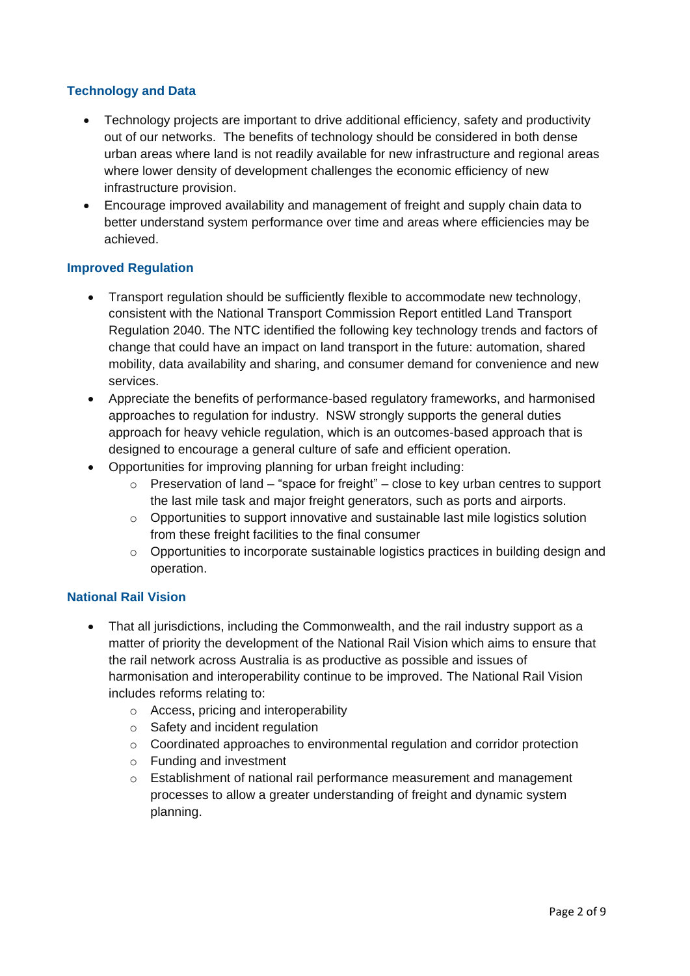### **Technology and Data**

- Technology projects are important to drive additional efficiency, safety and productivity out of our networks. The benefits of technology should be considered in both dense urban areas where land is not readily available for new infrastructure and regional areas where lower density of development challenges the economic efficiency of new infrastructure provision.
- Encourage improved availability and management of freight and supply chain data to better understand system performance over time and areas where efficiencies may be achieved.

### **Improved Regulation**

- Transport regulation should be sufficiently flexible to accommodate new technology, consistent with the National Transport Commission Report entitled Land Transport Regulation 2040. The NTC identified the following key technology trends and factors of change that could have an impact on land transport in the future: automation, shared mobility, data availability and sharing, and consumer demand for convenience and new services.
- Appreciate the benefits of performance-based regulatory frameworks, and harmonised approaches to regulation for industry. NSW strongly supports the general duties approach for heavy vehicle regulation, which is an outcomes-based approach that is designed to encourage a general culture of safe and efficient operation.
- Opportunities for improving planning for urban freight including:
	- $\circ$  Preservation of land "space for freight" close to key urban centres to support the last mile task and major freight generators, such as ports and airports.
	- $\circ$  Opportunities to support innovative and sustainable last mile logistics solution from these freight facilities to the final consumer
	- $\circ$  Opportunities to incorporate sustainable logistics practices in building design and operation.

### **National Rail Vision**

- That all jurisdictions, including the Commonwealth, and the rail industry support as a matter of priority the development of the National Rail Vision which aims to ensure that the rail network across Australia is as productive as possible and issues of harmonisation and interoperability continue to be improved. The National Rail Vision includes reforms relating to:
	- o Access, pricing and interoperability
	- o Safety and incident regulation
	- $\circ$  Coordinated approaches to environmental regulation and corridor protection
	- o Funding and investment
	- o Establishment of national rail performance measurement and management processes to allow a greater understanding of freight and dynamic system planning.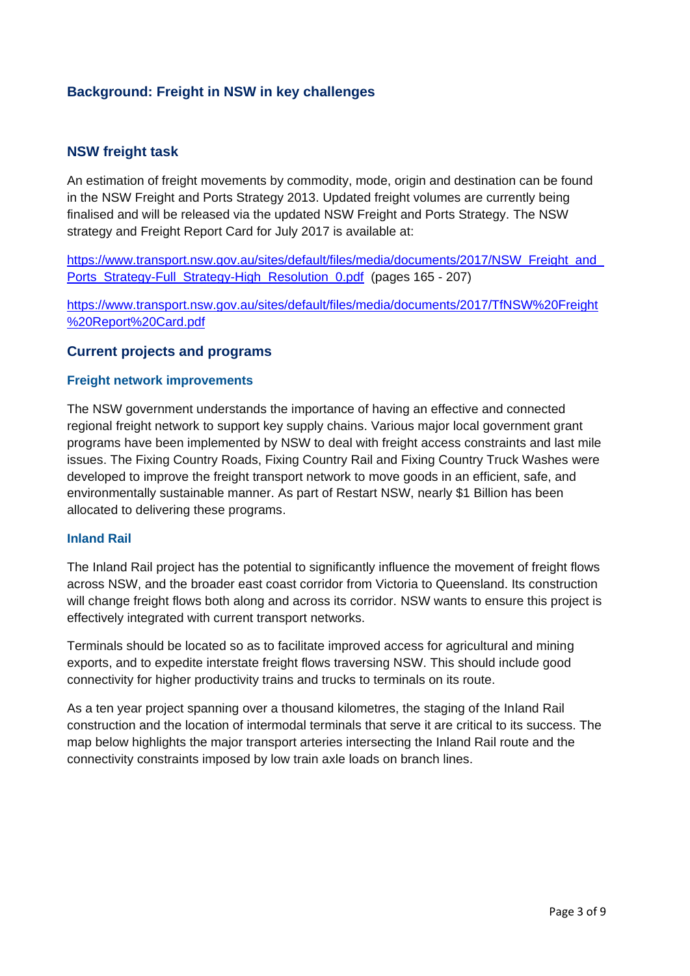# **Background: Freight in NSW in key challenges**

### **NSW freight task**

An estimation of freight movements by commodity, mode, origin and destination can be found in the NSW Freight and Ports Strategy 2013. Updated freight volumes are currently being finalised and will be released via the updated NSW Freight and Ports Strategy. The NSW strategy and Freight Report Card for July 2017 is available at:

[https://www.transport.nsw.gov.au/sites/default/files/media/documents/2017/NSW\\_Freight\\_and\\_](https://www.transport.nsw.gov.au/sites/default/files/media/documents/2017/NSW_Freight_and_Ports_Strategy-Full_Strategy-High_Resolution_0.pdf) Ports Strategy-Full Strategy-High Resolution 0.pdf (pages 165 - 207)

[https://www.transport.nsw.gov.au/sites/default/files/media/documents/2017/TfNSW%20Freight](https://www.transport.nsw.gov.au/sites/default/files/media/documents/2017/TfNSW%20Freight%20Report%20Card.pdf) [%20Report%20Card.pdf](https://www.transport.nsw.gov.au/sites/default/files/media/documents/2017/TfNSW%20Freight%20Report%20Card.pdf)

#### **Current projects and programs**

#### **Freight network improvements**

The NSW government understands the importance of having an effective and connected regional freight network to support key supply chains. Various major local government grant programs have been implemented by NSW to deal with freight access constraints and last mile issues. The Fixing Country Roads, Fixing Country Rail and Fixing Country Truck Washes were developed to improve the freight transport network to move goods in an efficient, safe, and environmentally sustainable manner. As part of Restart NSW, nearly \$1 Billion has been allocated to delivering these programs.

#### **Inland Rail**

The Inland Rail project has the potential to significantly influence the movement of freight flows across NSW, and the broader east coast corridor from Victoria to Queensland. Its construction will change freight flows both along and across its corridor. NSW wants to ensure this project is effectively integrated with current transport networks.

Terminals should be located so as to facilitate improved access for agricultural and mining exports, and to expedite interstate freight flows traversing NSW. This should include good connectivity for higher productivity trains and trucks to terminals on its route.

As a ten year project spanning over a thousand kilometres, the staging of the Inland Rail construction and the location of intermodal terminals that serve it are critical to its success. The map below highlights the major transport arteries intersecting the Inland Rail route and the connectivity constraints imposed by low train axle loads on branch lines.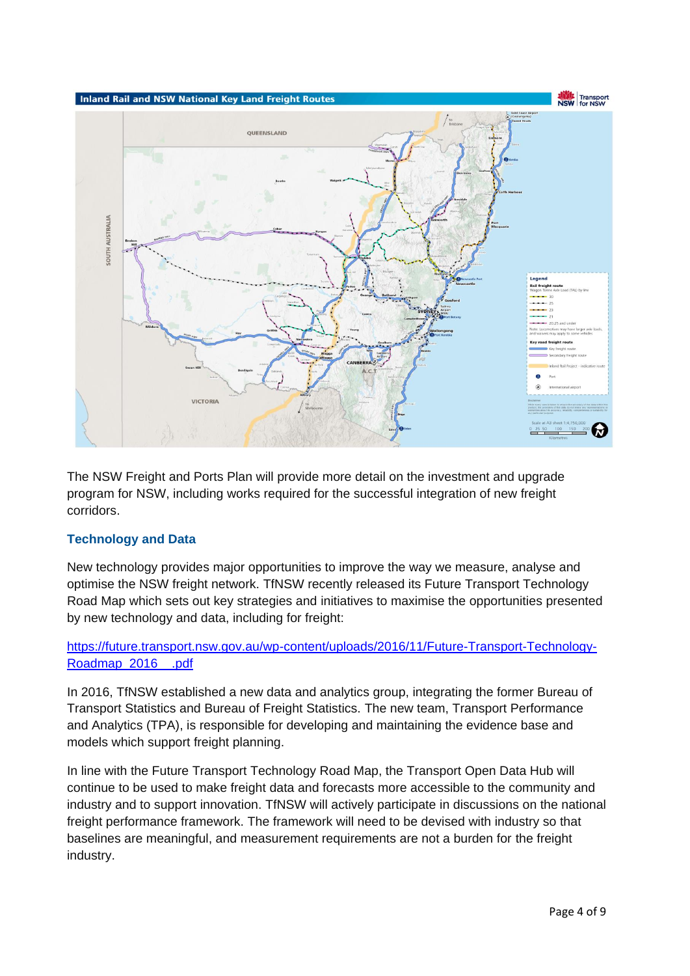

The NSW Freight and Ports Plan will provide more detail on the investment and upgrade program for NSW, including works required for the successful integration of new freight corridors.

## **Technology and Data**

New technology provides major opportunities to improve the way we measure, analyse and optimise the NSW freight network. TfNSW recently released its Future Transport Technology Road Map which sets out key strategies and initiatives to maximise the opportunities presented by new technology and data, including for freight:

## [https://future.transport.nsw.gov.au/wp-content/uploads/2016/11/Future-Transport-Technology-](https://future.transport.nsw.gov.au/wp-content/uploads/2016/11/Future-Transport-Technology-Roadmap_2016__.pdf)[Roadmap\\_2016\\_\\_.pdf](https://future.transport.nsw.gov.au/wp-content/uploads/2016/11/Future-Transport-Technology-Roadmap_2016__.pdf)

In 2016, TfNSW established a new data and analytics group, integrating the former Bureau of Transport Statistics and Bureau of Freight Statistics. The new team, Transport Performance and Analytics (TPA), is responsible for developing and maintaining the evidence base and models which support freight planning.

In line with the Future Transport Technology Road Map, the Transport Open Data Hub will continue to be used to make freight data and forecasts more accessible to the community and industry and to support innovation. TfNSW will actively participate in discussions on the national freight performance framework. The framework will need to be devised with industry so that baselines are meaningful, and measurement requirements are not a burden for the freight industry.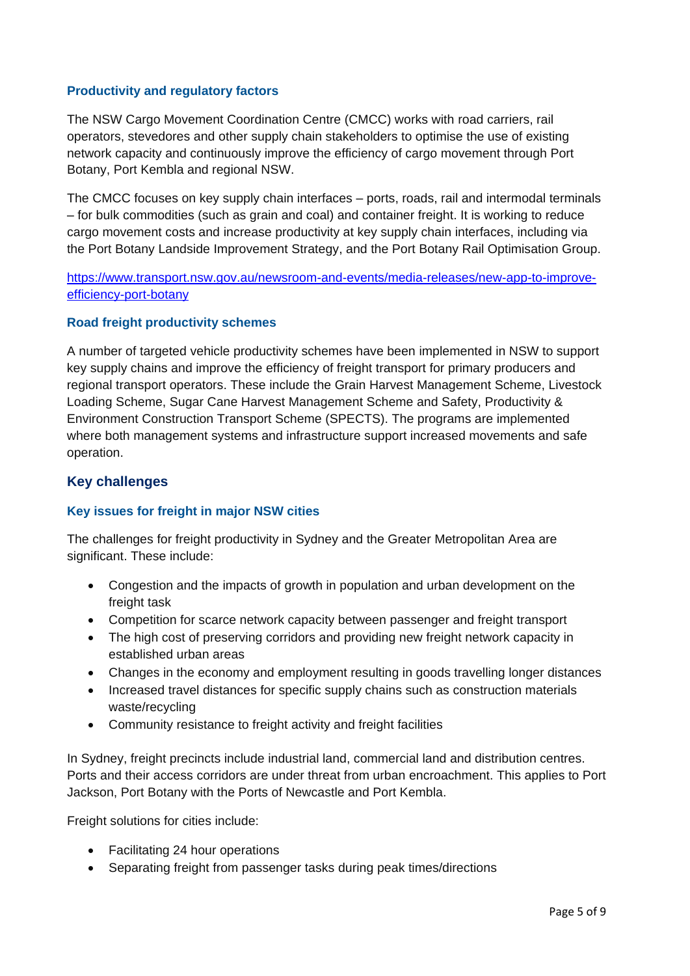### **Productivity and regulatory factors**

The NSW Cargo Movement Coordination Centre (CMCC) works with road carriers, rail operators, stevedores and other supply chain stakeholders to optimise the use of existing network capacity and continuously improve the efficiency of cargo movement through Port Botany, Port Kembla and regional NSW.

The CMCC focuses on key supply chain interfaces – ports, roads, rail and intermodal terminals – for bulk commodities (such as grain and coal) and container freight. It is working to reduce cargo movement costs and increase productivity at key supply chain interfaces, including via the Port Botany Landside Improvement Strategy, and the Port Botany Rail Optimisation Group.

[https://www.transport.nsw.gov.au/newsroom-and-events/media-releases/new-app-to-improve](https://www.transport.nsw.gov.au/newsroom-and-events/media-releases/new-app-to-improve-efficiency-port-botany)[efficiency-port-botany](https://www.transport.nsw.gov.au/newsroom-and-events/media-releases/new-app-to-improve-efficiency-port-botany)

### **Road freight productivity schemes**

A number of targeted vehicle productivity schemes have been implemented in NSW to support key supply chains and improve the efficiency of freight transport for primary producers and regional transport operators. These include the Grain Harvest Management Scheme, Livestock Loading Scheme, Sugar Cane Harvest Management Scheme and Safety, Productivity & Environment Construction Transport Scheme (SPECTS). The programs are implemented where both management systems and infrastructure support increased movements and safe operation.

## **Key challenges**

## **Key issues for freight in major NSW cities**

The challenges for freight productivity in Sydney and the Greater Metropolitan Area are significant. These include:

- Congestion and the impacts of growth in population and urban development on the freight task
- Competition for scarce network capacity between passenger and freight transport
- The high cost of preserving corridors and providing new freight network capacity in established urban areas
- Changes in the economy and employment resulting in goods travelling longer distances
- Increased travel distances for specific supply chains such as construction materials waste/recycling
- Community resistance to freight activity and freight facilities

In Sydney, freight precincts include industrial land, commercial land and distribution centres. Ports and their access corridors are under threat from urban encroachment. This applies to Port Jackson, Port Botany with the Ports of Newcastle and Port Kembla.

Freight solutions for cities include:

- Facilitating 24 hour operations
- Separating freight from passenger tasks during peak times/directions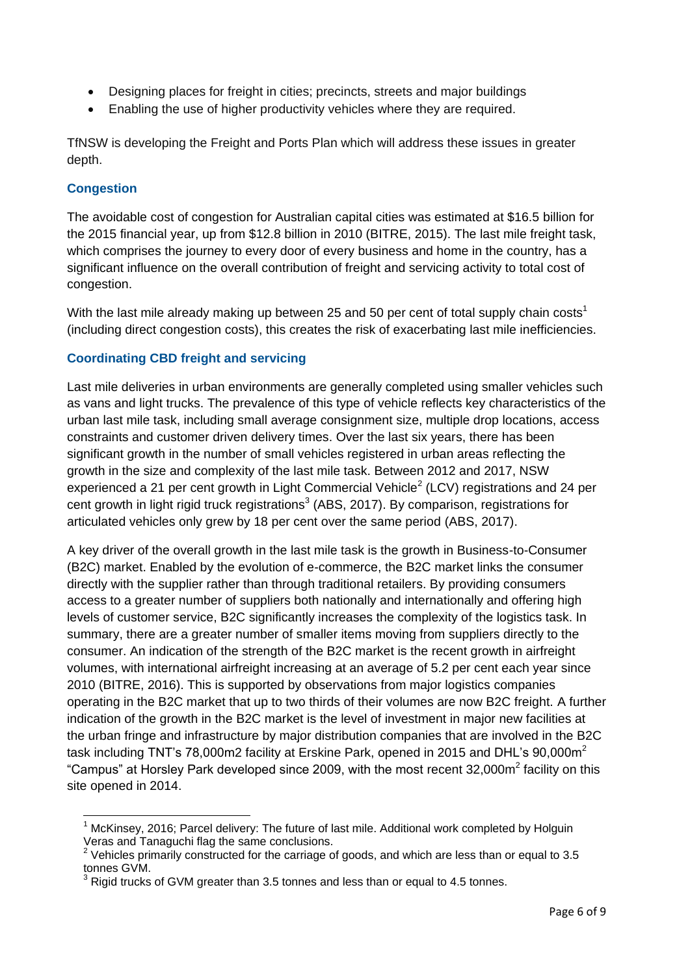- Designing places for freight in cities; precincts, streets and major buildings
- Enabling the use of higher productivity vehicles where they are required.

TfNSW is developing the Freight and Ports Plan which will address these issues in greater depth.

### **Congestion**

 $\overline{\phantom{a}}$ 

The avoidable cost of congestion for Australian capital cities was estimated at \$16.5 billion for the 2015 financial year, up from \$12.8 billion in 2010 (BITRE, 2015). The last mile freight task, which comprises the journey to every door of every business and home in the country, has a significant influence on the overall contribution of freight and servicing activity to total cost of congestion.

With the last mile already making up between 25 and 50 per cent of total supply chain costs<sup>1</sup> (including direct congestion costs), this creates the risk of exacerbating last mile inefficiencies.

### **Coordinating CBD freight and servicing**

Last mile deliveries in urban environments are generally completed using smaller vehicles such as vans and light trucks. The prevalence of this type of vehicle reflects key characteristics of the urban last mile task, including small average consignment size, multiple drop locations, access constraints and customer driven delivery times. Over the last six years, there has been significant growth in the number of small vehicles registered in urban areas reflecting the growth in the size and complexity of the last mile task. Between 2012 and 2017, NSW experienced a 21 per cent growth in Light Commercial Vehicle<sup>2</sup> (LCV) registrations and 24 per cent growth in light rigid truck registrations<sup>3</sup> (ABS, 2017). By comparison, registrations for articulated vehicles only grew by 18 per cent over the same period (ABS, 2017).

A key driver of the overall growth in the last mile task is the growth in Business-to-Consumer (B2C) market. Enabled by the evolution of e-commerce, the B2C market links the consumer directly with the supplier rather than through traditional retailers. By providing consumers access to a greater number of suppliers both nationally and internationally and offering high levels of customer service, B2C significantly increases the complexity of the logistics task. In summary, there are a greater number of smaller items moving from suppliers directly to the consumer. An indication of the strength of the B2C market is the recent growth in airfreight volumes, with international airfreight increasing at an average of 5.2 per cent each year since 2010 (BITRE, 2016). This is supported by observations from major logistics companies operating in the B2C market that up to two thirds of their volumes are now B2C freight. A further indication of the growth in the B2C market is the level of investment in major new facilities at the urban fringe and infrastructure by major distribution companies that are involved in the B2C task including TNT's 78,000m2 facility at Erskine Park, opened in 2015 and DHL's  $90,000$ m<sup>2</sup> "Campus" at Horsley Park developed since 2009, with the most recent 32,000 $m^2$  facility on this site opened in 2014.

 $1$  McKinsey, 2016; Parcel delivery: The future of last mile. Additional work completed by Holguin Veras and Tanaguchi flag the same conclusions.

 $2$  Vehicles primarily constructed for the carriage of goods, and which are less than or equal to 3.5 tonnes GVM.

<sup>3</sup> Rigid trucks of GVM greater than 3.5 tonnes and less than or equal to 4.5 tonnes.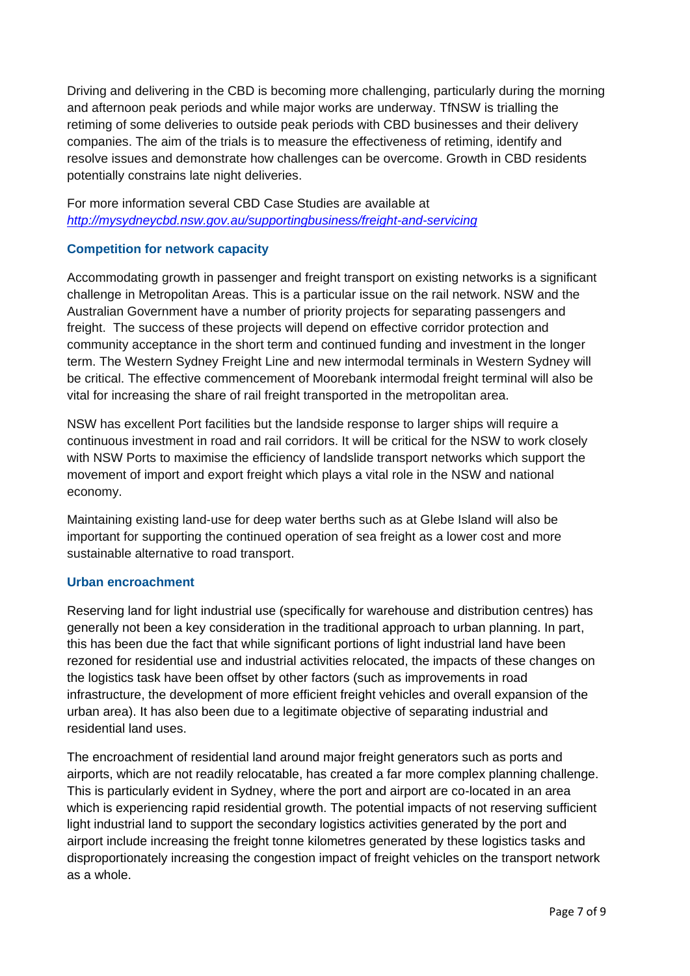Driving and delivering in the CBD is becoming more challenging, particularly during the morning and afternoon peak periods and while major works are underway. TfNSW is trialling the retiming of some deliveries to outside peak periods with CBD businesses and their delivery companies. The aim of the trials is to measure the effectiveness of retiming, identify and resolve issues and demonstrate how challenges can be overcome. Growth in CBD residents potentially constrains late night deliveries.

For more information several CBD Case Studies are available at *<http://mysydneycbd.nsw.gov.au/supportingbusiness/freight-and-servicing>*

### **Competition for network capacity**

Accommodating growth in passenger and freight transport on existing networks is a significant challenge in Metropolitan Areas. This is a particular issue on the rail network. NSW and the Australian Government have a number of priority projects for separating passengers and freight. The success of these projects will depend on effective corridor protection and community acceptance in the short term and continued funding and investment in the longer term. The Western Sydney Freight Line and new intermodal terminals in Western Sydney will be critical. The effective commencement of Moorebank intermodal freight terminal will also be vital for increasing the share of rail freight transported in the metropolitan area.

NSW has excellent Port facilities but the landside response to larger ships will require a continuous investment in road and rail corridors. It will be critical for the NSW to work closely with NSW Ports to maximise the efficiency of landslide transport networks which support the movement of import and export freight which plays a vital role in the NSW and national economy.

Maintaining existing land-use for deep water berths such as at Glebe Island will also be important for supporting the continued operation of sea freight as a lower cost and more sustainable alternative to road transport.

### **Urban encroachment**

Reserving land for light industrial use (specifically for warehouse and distribution centres) has generally not been a key consideration in the traditional approach to urban planning. In part, this has been due the fact that while significant portions of light industrial land have been rezoned for residential use and industrial activities relocated, the impacts of these changes on the logistics task have been offset by other factors (such as improvements in road infrastructure, the development of more efficient freight vehicles and overall expansion of the urban area). It has also been due to a legitimate objective of separating industrial and residential land uses.

The encroachment of residential land around major freight generators such as ports and airports, which are not readily relocatable, has created a far more complex planning challenge. This is particularly evident in Sydney, where the port and airport are co-located in an area which is experiencing rapid residential growth. The potential impacts of not reserving sufficient light industrial land to support the secondary logistics activities generated by the port and airport include increasing the freight tonne kilometres generated by these logistics tasks and disproportionately increasing the congestion impact of freight vehicles on the transport network as a whole.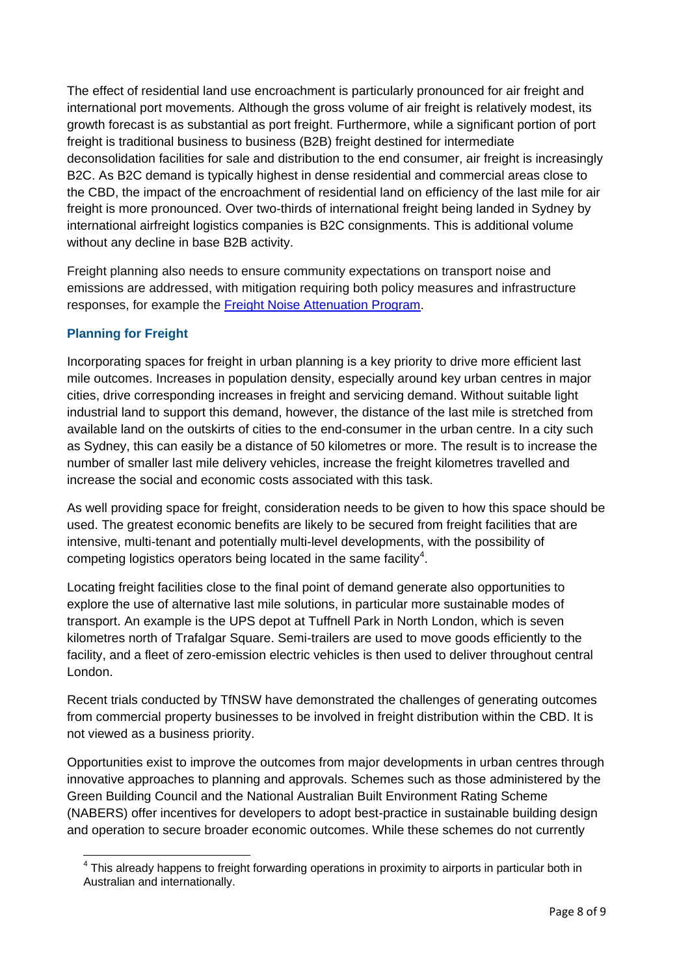The effect of residential land use encroachment is particularly pronounced for air freight and international port movements. Although the gross volume of air freight is relatively modest, its growth forecast is as substantial as port freight. Furthermore, while a significant portion of port freight is traditional business to business (B2B) freight destined for intermediate deconsolidation facilities for sale and distribution to the end consumer, air freight is increasingly B2C. As B2C demand is typically highest in dense residential and commercial areas close to the CBD, the impact of the encroachment of residential land on efficiency of the last mile for air freight is more pronounced. Over two-thirds of international freight being landed in Sydney by international airfreight logistics companies is B2C consignments. This is additional volume without any decline in base B2B activity.

Freight planning also needs to ensure community expectations on transport noise and emissions are addressed, with mitigation requiring both policy measures and infrastructure responses, for example the [Freight Noise Attenuation Program.](https://www.transport.nsw.gov.au/projects/programs/freight-noise-attenuation-program)

## **Planning for Freight**

Incorporating spaces for freight in urban planning is a key priority to drive more efficient last mile outcomes. Increases in population density, especially around key urban centres in major cities, drive corresponding increases in freight and servicing demand. Without suitable light industrial land to support this demand, however, the distance of the last mile is stretched from available land on the outskirts of cities to the end-consumer in the urban centre. In a city such as Sydney, this can easily be a distance of 50 kilometres or more. The result is to increase the number of smaller last mile delivery vehicles, increase the freight kilometres travelled and increase the social and economic costs associated with this task.

As well providing space for freight, consideration needs to be given to how this space should be used. The greatest economic benefits are likely to be secured from freight facilities that are intensive, multi-tenant and potentially multi-level developments, with the possibility of competing logistics operators being located in the same facility<sup>4</sup>.

Locating freight facilities close to the final point of demand generate also opportunities to explore the use of alternative last mile solutions, in particular more sustainable modes of transport. An example is the UPS depot at Tuffnell Park in North London, which is seven kilometres north of Trafalgar Square. Semi-trailers are used to move goods efficiently to the facility, and a fleet of zero-emission electric vehicles is then used to deliver throughout central London.

Recent trials conducted by TfNSW have demonstrated the challenges of generating outcomes from commercial property businesses to be involved in freight distribution within the CBD. It is not viewed as a business priority.

Opportunities exist to improve the outcomes from major developments in urban centres through innovative approaches to planning and approvals. Schemes such as those administered by the Green Building Council and the National Australian Built Environment Rating Scheme (NABERS) offer incentives for developers to adopt best-practice in sustainable building design and operation to secure broader economic outcomes. While these schemes do not currently

 $\overline{\phantom{a}}$  $4$  This already happens to freight forwarding operations in proximity to airports in particular both in Australian and internationally.